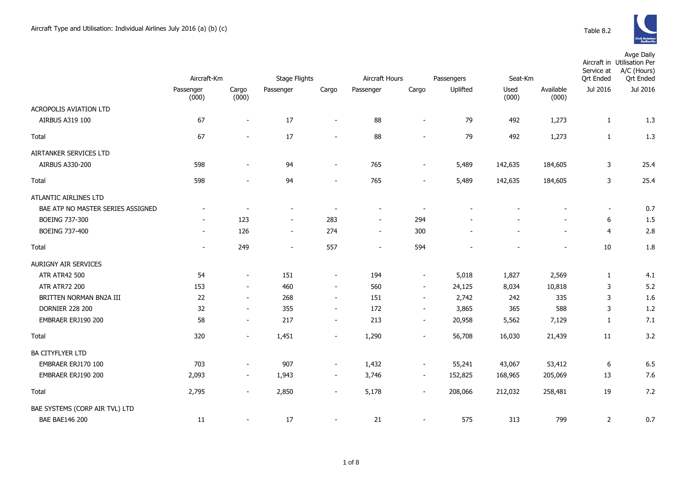

|                                   | Aircraft-Km              |                          | Stage Flights            |                          | Aircraft Hours           |                          | Passengers | Seat-Km |           | Service at<br><b>Qrt Ended</b> | Avge Daily<br>Aircraft in Utilisation Per<br>A/C (Hours)<br><b>Qrt Ended</b> |
|-----------------------------------|--------------------------|--------------------------|--------------------------|--------------------------|--------------------------|--------------------------|------------|---------|-----------|--------------------------------|------------------------------------------------------------------------------|
|                                   | Passenger                | Cargo                    | Passenger                | Cargo                    | Passenger                | Cargo                    | Uplifted   | Used    | Available | Jul 2016                       | Jul 2016                                                                     |
| ACROPOLIS AVIATION LTD            | (000)                    | (000)                    |                          |                          |                          |                          |            | (000)   | (000)     |                                |                                                                              |
| AIRBUS A319 100                   | 67                       | $\overline{a}$           | 17                       | $\overline{a}$           | 88                       | $\sim$                   | 79         | 492     | 1,273     | 1                              | 1.3                                                                          |
| Total                             | 67                       | $\overline{\phantom{a}}$ | 17                       | $\overline{a}$           | 88                       | $\sim$                   | 79         | 492     | 1,273     | $\mathbf{1}$                   | 1.3                                                                          |
| AIRTANKER SERVICES LTD            |                          |                          |                          |                          |                          |                          |            |         |           |                                |                                                                              |
| AIRBUS A330-200                   | 598                      | $\overline{\phantom{a}}$ | 94                       | $\blacksquare$           | 765                      | $\sim$                   | 5,489      | 142,635 | 184,605   | 3                              | 25.4                                                                         |
| Total                             | 598                      |                          | 94                       | $\overline{a}$           | 765                      | $\blacksquare$           | 5,489      | 142,635 | 184,605   | 3                              | 25.4                                                                         |
| ATLANTIC AIRLINES LTD             |                          |                          |                          |                          |                          |                          |            |         |           |                                |                                                                              |
| BAE ATP NO MASTER SERIES ASSIGNED |                          |                          | $\overline{a}$           | $\blacksquare$           |                          | $\overline{\phantom{a}}$ |            |         |           | $\overline{\phantom{a}}$       | 0.7                                                                          |
| <b>BOEING 737-300</b>             |                          | 123                      | $\overline{\phantom{a}}$ | 283                      | $\overline{\phantom{a}}$ | 294                      |            |         |           | 6                              | 1.5                                                                          |
| <b>BOEING 737-400</b>             | $\overline{\phantom{a}}$ | 126                      | $\overline{\phantom{a}}$ | 274                      | $\overline{\phantom{a}}$ | 300                      |            |         |           | $\overline{4}$                 | 2.8                                                                          |
| Total                             | $\overline{\phantom{a}}$ | 249                      | $\overline{\phantom{a}}$ | 557                      | $\overline{\phantom{a}}$ | 594                      |            |         |           | 10                             | 1.8                                                                          |
| AURIGNY AIR SERVICES              |                          |                          |                          |                          |                          |                          |            |         |           |                                |                                                                              |
| <b>ATR ATR42 500</b>              | 54                       | $\overline{\phantom{a}}$ | 151                      | $\overline{\phantom{a}}$ | 194                      | $\overline{\phantom{a}}$ | 5,018      | 1,827   | 2,569     | 1                              | 4.1                                                                          |
| <b>ATR ATR72 200</b>              | 153                      | $\blacksquare$           | 460                      | $\overline{\phantom{a}}$ | 560                      | $\overline{\phantom{a}}$ | 24,125     | 8,034   | 10,818    | 3                              | 5.2                                                                          |
| BRITTEN NORMAN BN2A III           | 22                       | $\overline{\phantom{a}}$ | 268                      | $\overline{\phantom{a}}$ | 151                      | $\sim$                   | 2,742      | 242     | 335       | 3                              | 1.6                                                                          |
| <b>DORNIER 228 200</b>            | 32                       | $\overline{\phantom{a}}$ | 355                      | $\overline{\phantom{a}}$ | 172                      | $\overline{\phantom{a}}$ | 3,865      | 365     | 588       | 3                              | 1.2                                                                          |
| EMBRAER ERJ190 200                | 58                       | $\overline{\phantom{a}}$ | 217                      | $\overline{\phantom{a}}$ | 213                      | $\overline{\phantom{a}}$ | 20,958     | 5,562   | 7,129     | $\mathbf{1}$                   | 7.1                                                                          |
| Total                             | 320                      | $\blacksquare$           | 1,451                    | $\blacksquare$           | 1,290                    | $\overline{\phantom{a}}$ | 56,708     | 16,030  | 21,439    | 11                             | 3.2                                                                          |
| <b>BA CITYFLYER LTD</b>           |                          |                          |                          |                          |                          |                          |            |         |           |                                |                                                                              |
| EMBRAER ERJ170 100                | 703                      | $\overline{\phantom{a}}$ | 907                      | $\overline{\phantom{a}}$ | 1,432                    | $\overline{\phantom{a}}$ | 55,241     | 43,067  | 53,412    | 6                              | 6.5                                                                          |
| EMBRAER ERJ190 200                | 2,093                    | $\overline{\phantom{a}}$ | 1,943                    | $\overline{\phantom{a}}$ | 3,746                    | $\overline{\phantom{a}}$ | 152,825    | 168,965 | 205,069   | 13                             | 7.6                                                                          |
| Total                             | 2,795                    | $\sim$                   | 2,850                    | $\overline{\phantom{a}}$ | 5,178                    | $\sim$                   | 208,066    | 212,032 | 258,481   | 19                             | 7.2                                                                          |
| BAE SYSTEMS (CORP AIR TVL) LTD    |                          |                          |                          |                          |                          |                          |            |         |           |                                |                                                                              |
| <b>BAE BAE146 200</b>             | 11                       | $\blacksquare$           | 17                       | $\sim$                   | 21                       | $\sim$                   | 575        | 313     | 799       | 2                              | 0.7                                                                          |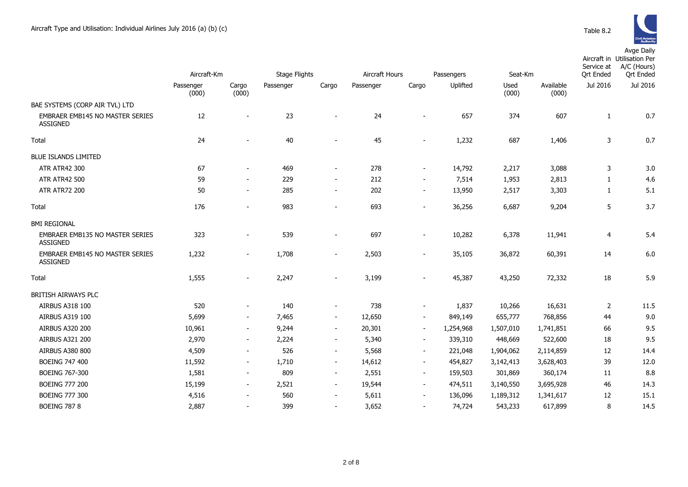|                                                           | Aircraft-Km        |                          | Stage Flights |                          | Aircraft Hours |                          | Passengers |               | Seat-Km            |                       | Aircraft in Utilisation Per<br>A/C (Hours)<br><b>Qrt Ended</b> |
|-----------------------------------------------------------|--------------------|--------------------------|---------------|--------------------------|----------------|--------------------------|------------|---------------|--------------------|-----------------------|----------------------------------------------------------------|
|                                                           | Passenger<br>(000) | Cargo<br>(000)           | Passenger     | Cargo                    | Passenger      | Cargo                    | Uplifted   | Used<br>(000) | Available<br>(000) | Ort Ended<br>Jul 2016 | Jul 2016                                                       |
| BAE SYSTEMS (CORP AIR TVL) LTD                            |                    |                          |               |                          |                |                          |            |               |                    |                       |                                                                |
| EMBRAER EMB145 NO MASTER SERIES<br>ASSIGNED               | 12                 | $\overline{\phantom{a}}$ | 23            | $\overline{\phantom{0}}$ | 24             | $\overline{\phantom{a}}$ | 657        | 374           | 607                | $\mathbf{1}$          | 0.7                                                            |
| Total                                                     | 24                 |                          | 40            | ۰                        | 45             |                          | 1,232      | 687           | 1,406              | 3                     | 0.7                                                            |
| <b>BLUE ISLANDS LIMITED</b>                               |                    |                          |               |                          |                |                          |            |               |                    |                       |                                                                |
| <b>ATR ATR42 300</b>                                      | 67                 | $\overline{\phantom{a}}$ | 469           | $\overline{\phantom{a}}$ | 278            | $\blacksquare$           | 14,792     | 2,217         | 3,088              | 3                     | 3.0                                                            |
| <b>ATR ATR42 500</b>                                      | 59                 | $\overline{\phantom{a}}$ | 229           | $\overline{\phantom{a}}$ | 212            | $\overline{\phantom{a}}$ | 7,514      | 1,953         | 2,813              | $\mathbf{1}$          | 4.6                                                            |
| <b>ATR ATR72 200</b>                                      | 50                 | $\blacksquare$           | 285           | $\overline{\phantom{a}}$ | 202            | $\overline{\phantom{m}}$ | 13,950     | 2,517         | 3,303              | 1                     | 5.1                                                            |
| Total                                                     | 176                |                          | 983           | $\overline{\phantom{0}}$ | 693            |                          | 36,256     | 6,687         | 9,204              | 5                     | 3.7                                                            |
| <b>BMI REGIONAL</b>                                       |                    |                          |               |                          |                |                          |            |               |                    |                       |                                                                |
| <b>EMBRAER EMB135 NO MASTER SERIES</b><br><b>ASSIGNED</b> | 323                | $\overline{\phantom{a}}$ | 539           | $\blacksquare$           | 697            | $\overline{\phantom{a}}$ | 10,282     | 6,378         | 11,941             | 4                     | 5.4                                                            |
| <b>EMBRAER EMB145 NO MASTER SERIES</b><br><b>ASSIGNED</b> | 1,232              | $\sim$                   | 1,708         | $\overline{\phantom{a}}$ | 2,503          | $\overline{\phantom{a}}$ | 35,105     | 36,872        | 60,391             | 14                    | 6.0                                                            |
| <b>Total</b>                                              | 1,555              | $\blacksquare$           | 2,247         | $\overline{\phantom{a}}$ | 3,199          |                          | 45,387     | 43,250        | 72,332             | 18                    | 5.9                                                            |
| BRITISH AIRWAYS PLC                                       |                    |                          |               |                          |                |                          |            |               |                    |                       |                                                                |
| AIRBUS A318 100                                           | 520                | $\overline{\phantom{a}}$ | 140           | $\overline{\phantom{a}}$ | 738            | $\overline{\phantom{a}}$ | 1,837      | 10,266        | 16,631             | $\overline{2}$        | 11.5                                                           |
| AIRBUS A319 100                                           | 5,699              | $\sim$                   | 7,465         | $\overline{\phantom{a}}$ | 12,650         | $\overline{\phantom{a}}$ | 849,149    | 655,777       | 768,856            | 44                    | 9.0                                                            |
| <b>AIRBUS A320 200</b>                                    | 10,961             | $\overline{\phantom{a}}$ | 9,244         | $\overline{\phantom{a}}$ | 20,301         | $\overline{\phantom{a}}$ | 1,254,968  | 1,507,010     | 1,741,851          | 66                    | 9.5                                                            |
| <b>AIRBUS A321 200</b>                                    | 2,970              | $\sim$                   | 2,224         | $\overline{\phantom{a}}$ | 5,340          | $\overline{\phantom{a}}$ | 339,310    | 448,669       | 522,600            | 18                    | 9.5                                                            |
| <b>AIRBUS A380 800</b>                                    | 4,509              | $\blacksquare$           | 526           | $\sim$                   | 5,568          | $\overline{\phantom{a}}$ | 221,048    | 1,904,062     | 2,114,859          | 12                    | 14.4                                                           |
| <b>BOEING 747 400</b>                                     | 11,592             | $\overline{\phantom{a}}$ | 1,710         | $\sim$                   | 14,612         | $\overline{\phantom{a}}$ | 454,827    | 3,142,413     | 3,628,403          | 39                    | 12.0                                                           |
| <b>BOEING 767-300</b>                                     | 1,581              | $\overline{\phantom{a}}$ | 809           | $\sim$                   | 2,551          | $\blacksquare$           | 159,503    | 301,869       | 360,174            | 11                    | 8.8                                                            |
| <b>BOEING 777 200</b>                                     | 15,199             | $\overline{\phantom{a}}$ | 2,521         | $\overline{\phantom{a}}$ | 19,544         | $\blacksquare$           | 474,511    | 3,140,550     | 3,695,928          | 46                    | 14.3                                                           |
| <b>BOEING 777 300</b>                                     | 4,516              |                          | 560           | $\overline{\phantom{a}}$ | 5,611          | $\overline{\phantom{a}}$ | 136,096    | 1,189,312     | 1,341,617          | 12                    | 15.1                                                           |
| <b>BOEING 787 8</b>                                       | 2,887              |                          | 399           | $\blacksquare$           | 3,652          | $\overline{\phantom{a}}$ | 74,724     | 543,233       | 617,899            | 8                     | 14.5                                                           |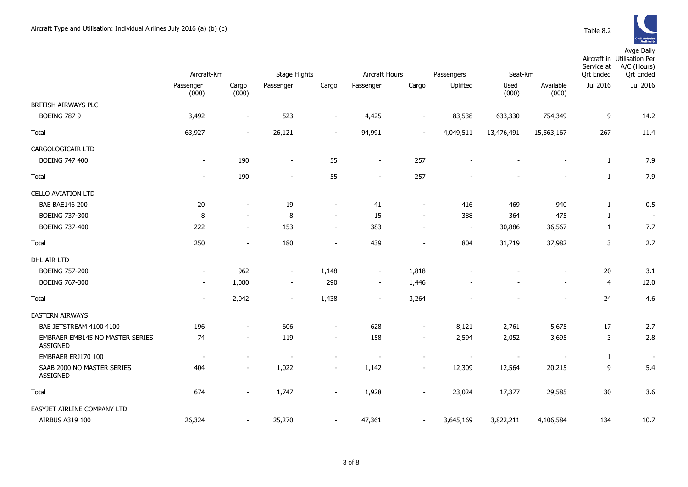

|                                                    | Aircraft-Km              |                          | <b>Stage Flights</b>     |                          | Aircraft Hours           |                          | Passengers<br>Seat-Km    |                          |                          | Service at<br><b>Qrt Ended</b> | Aircraft in Utilisation Per<br>A/C (Hours)<br><b>Qrt Ended</b> |
|----------------------------------------------------|--------------------------|--------------------------|--------------------------|--------------------------|--------------------------|--------------------------|--------------------------|--------------------------|--------------------------|--------------------------------|----------------------------------------------------------------|
|                                                    | Passenger<br>(000)       | Cargo<br>(000)           | Passenger                | Cargo                    | Passenger                | Cargo                    | Uplifted                 | Used<br>(000)            | Available<br>(000)       | Jul 2016                       | Jul 2016                                                       |
| BRITISH AIRWAYS PLC                                |                          |                          |                          |                          |                          |                          |                          |                          |                          |                                |                                                                |
| <b>BOEING 787 9</b>                                | 3,492                    | $\overline{a}$           | 523                      | $\overline{a}$           | 4,425                    |                          | 83,538                   | 633,330                  | 754,349                  | 9                              | 14.2                                                           |
| Total                                              | 63,927                   | $\overline{\phantom{a}}$ | 26,121                   | $\overline{\phantom{a}}$ | 94,991                   | $\overline{\phantom{a}}$ | 4,049,511                | 13,476,491               | 15,563,167               | 267                            | 11.4                                                           |
| CARGOLOGICAIR LTD                                  |                          |                          |                          |                          |                          |                          |                          |                          |                          |                                |                                                                |
| BOEING 747 400                                     | $\overline{\phantom{a}}$ | 190                      | $\blacksquare$           | 55                       | $\blacksquare$           | 257                      |                          |                          |                          | $\mathbf{1}$                   | 7.9                                                            |
| Total                                              | $\overline{\phantom{a}}$ | 190                      | $\overline{\phantom{a}}$ | 55                       | $\overline{\phantom{a}}$ | 257                      |                          |                          |                          | $\mathbf{1}$                   | 7.9                                                            |
| <b>CELLO AVIATION LTD</b>                          |                          |                          |                          |                          |                          |                          |                          |                          |                          |                                |                                                                |
| <b>BAE BAE146 200</b>                              | 20                       | $\blacksquare$           | 19                       | $\blacksquare$           | 41                       | $\blacksquare$           | 416                      | 469                      | 940                      | $\mathbf{1}$                   | 0.5                                                            |
| <b>BOEING 737-300</b>                              | 8                        | $\overline{\phantom{a}}$ | 8                        | $\sim$                   | 15                       | $\overline{a}$           | 388                      | 364                      | 475                      | $\mathbf{1}$                   | $\blacksquare$                                                 |
| BOEING 737-400                                     | 222                      | $\sim$                   | 153                      | $\overline{\phantom{a}}$ | 383                      | $\blacksquare$           | $\overline{\phantom{a}}$ | 30,886                   | 36,567                   | $\mathbf{1}$                   | 7.7                                                            |
| Total                                              | 250                      | $\overline{\phantom{a}}$ | 180                      | $\overline{\phantom{a}}$ | 439                      | $\overline{\phantom{a}}$ | 804                      | 31,719                   | 37,982                   | $\mathsf{3}$                   | 2.7                                                            |
| DHL AIR LTD                                        |                          |                          |                          |                          |                          |                          |                          |                          |                          |                                |                                                                |
| <b>BOEING 757-200</b>                              | $\overline{\phantom{a}}$ | 962                      | $\overline{\phantom{a}}$ | 1,148                    | $\overline{\phantom{a}}$ | 1,818                    |                          |                          |                          | 20                             | 3.1                                                            |
| <b>BOEING 767-300</b>                              |                          | 1,080                    | $\overline{\phantom{a}}$ | 290                      | $\overline{\phantom{a}}$ | 1,446                    |                          |                          |                          | $\overline{4}$                 | 12.0                                                           |
| Total                                              | $\blacksquare$           | 2,042                    | $\blacksquare$           | 1,438                    | $\blacksquare$           | 3,264                    |                          |                          | $\blacksquare$           | 24                             | 4.6                                                            |
| <b>EASTERN AIRWAYS</b>                             |                          |                          |                          |                          |                          |                          |                          |                          |                          |                                |                                                                |
| BAE JETSTREAM 4100 4100                            | 196                      | $\overline{\phantom{a}}$ | 606                      | $\overline{\phantom{a}}$ | 628                      | $\overline{\phantom{a}}$ | 8,121                    | 2,761                    | 5,675                    | 17                             | 2.7                                                            |
| EMBRAER EMB145 NO MASTER SERIES<br><b>ASSIGNED</b> | 74                       | $\overline{\phantom{a}}$ | 119                      | $\overline{\phantom{a}}$ | 158                      | $\blacksquare$           | 2,594                    | 2,052                    | 3,695                    | $\mathsf{3}$                   | 2.8                                                            |
| EMBRAER ERJ170 100                                 | $\overline{\phantom{a}}$ | $\overline{\phantom{a}}$ | $\overline{a}$           | $\overline{\phantom{a}}$ | ÷,                       | $\overline{a}$           | $\overline{\phantom{a}}$ | $\overline{\phantom{a}}$ | $\overline{\phantom{a}}$ | $\mathbf{1}$                   | $\overline{\phantom{a}}$                                       |
| SAAB 2000 NO MASTER SERIES<br><b>ASSIGNED</b>      | 404                      | $\sim$                   | 1,022                    | $\overline{\phantom{a}}$ | 1,142                    | $\overline{\phantom{a}}$ | 12,309                   | 12,564                   | 20,215                   | $\boldsymbol{9}$               | 5.4                                                            |
| Total                                              | 674                      | $\overline{\phantom{a}}$ | 1,747                    | $\overline{\phantom{a}}$ | 1,928                    |                          | 23,024                   | 17,377                   | 29,585                   | 30                             | 3.6                                                            |
| EASYJET AIRLINE COMPANY LTD                        |                          |                          |                          |                          |                          |                          |                          |                          |                          |                                |                                                                |
| AIRBUS A319 100                                    | 26,324                   | $\overline{a}$           | 25,270                   | $\overline{a}$           | 47,361                   | $\blacksquare$           | 3,645,169                | 3,822,211                | 4,106,584                | 134                            | 10.7                                                           |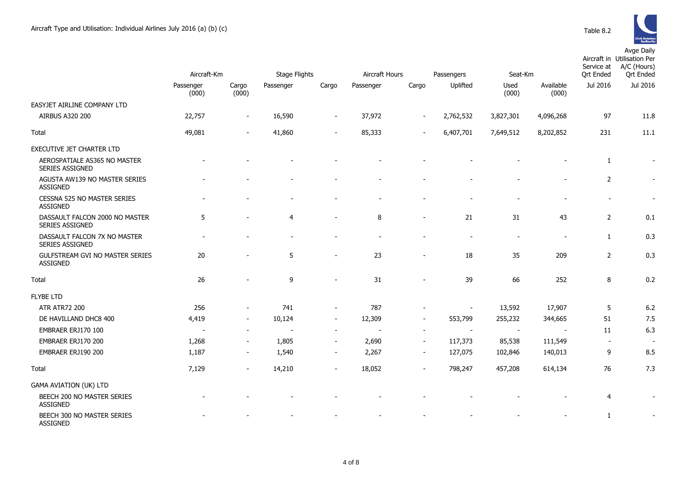

| Table 8.2 |  |
|-----------|--|
|           |  |

|                                                           | Aircraft-Km        |                          | <b>Stage Flights</b>     |                          | Aircraft Hours<br>Passengers |                          |                          | Seat-Km        |                          | Service at<br><b>Ort Ended</b> | Aircraft in Utilisation Per<br>A/C (Hours)<br><b>Ort Ended</b> |
|-----------------------------------------------------------|--------------------|--------------------------|--------------------------|--------------------------|------------------------------|--------------------------|--------------------------|----------------|--------------------------|--------------------------------|----------------------------------------------------------------|
|                                                           | Passenger<br>(000) | Cargo<br>(000)           | Passenger                | Cargo                    | Passenger                    | Cargo                    | Uplifted                 | Used<br>(000)  | Available<br>(000)       | Jul 2016                       | Jul 2016                                                       |
| EASYJET AIRLINE COMPANY LTD                               |                    |                          |                          |                          |                              |                          |                          |                |                          |                                |                                                                |
| <b>AIRBUS A320 200</b>                                    | 22,757             |                          | 16,590                   | $\overline{\phantom{a}}$ | 37,972                       | $\overline{\phantom{a}}$ | 2,762,532                | 3,827,301      | 4,096,268                | 97                             | 11.8                                                           |
| Total                                                     | 49,081             | $\overline{\phantom{a}}$ | 41,860                   | $\overline{\phantom{a}}$ | 85,333                       |                          | 6,407,701                | 7,649,512      | 8,202,852                | 231                            | 11.1                                                           |
| EXECUTIVE JET CHARTER LTD                                 |                    |                          |                          |                          |                              |                          |                          |                |                          |                                |                                                                |
| AEROSPATIALE AS365 NO MASTER<br>SERIES ASSIGNED           |                    |                          |                          |                          |                              |                          |                          |                |                          | 1                              | $\sim$                                                         |
| AGUSTA AW139 NO MASTER SERIES<br><b>ASSIGNED</b>          |                    |                          |                          |                          |                              |                          |                          |                |                          | $\overline{2}$                 | $\overline{\phantom{a}}$                                       |
| CESSNA 525 NO MASTER SERIES<br><b>ASSIGNED</b>            |                    |                          |                          |                          |                              |                          |                          |                |                          | $\qquad \qquad \blacksquare$   | $\overline{\phantom{a}}$                                       |
| DASSAULT FALCON 2000 NO MASTER<br>SERIES ASSIGNED         | 5                  |                          | $\overline{4}$           | $\blacksquare$           | 8                            | $\blacksquare$           | 21                       | 31             | 43                       | $\overline{2}$                 | 0.1                                                            |
| DASSAULT FALCON 7X NO MASTER<br><b>SERIES ASSIGNED</b>    |                    |                          | $\overline{\phantom{a}}$ |                          |                              |                          | $\overline{\phantom{a}}$ | $\blacksquare$ | $\overline{\phantom{a}}$ | $\mathbf{1}$                   | 0.3                                                            |
| <b>GULFSTREAM GVI NO MASTER SERIES</b><br><b>ASSIGNED</b> | 20                 |                          | 5                        | $\overline{\phantom{a}}$ | 23                           |                          | 18                       | 35             | 209                      | $\overline{2}$                 | 0.3                                                            |
| Total                                                     | 26                 |                          | 9                        |                          | 31                           |                          | 39                       | 66             | 252                      | 8                              | 0.2                                                            |
| <b>FLYBE LTD</b>                                          |                    |                          |                          |                          |                              |                          |                          |                |                          |                                |                                                                |
| <b>ATR ATR72 200</b>                                      | 256                |                          | 741                      | $\overline{\phantom{a}}$ | 787                          |                          | $\overline{\phantom{a}}$ | 13,592         | 17,907                   | 5                              | 6.2                                                            |
| DE HAVILLAND DHC8 400                                     | 4,419              |                          | 10,124                   | $\overline{\phantom{a}}$ | 12,309                       | $\overline{\phantom{a}}$ | 553,799                  | 255,232        | 344,665                  | 51                             | 7.5                                                            |
| EMBRAER ERJ170 100                                        |                    |                          |                          | $\overline{\phantom{a}}$ |                              | $\blacksquare$           |                          |                |                          | 11                             | 6.3                                                            |
| EMBRAER ERJ170 200                                        | 1,268              | $\overline{\phantom{a}}$ | 1,805                    | $\overline{\phantom{a}}$ | 2,690                        | $\overline{\phantom{a}}$ | 117,373                  | 85,538         | 111,549                  | $\overline{\phantom{a}}$       | $\overline{\phantom{a}}$                                       |
| EMBRAER ERJ190 200                                        | 1,187              | $\overline{\phantom{a}}$ | 1,540                    | $\overline{\phantom{a}}$ | 2,267                        | $\blacksquare$           | 127,075                  | 102,846        | 140,013                  | 9                              | 8.5                                                            |
| Total                                                     | 7,129              |                          | 14,210                   | $\overline{\phantom{a}}$ | 18,052                       | $\blacksquare$           | 798,247                  | 457,208        | 614,134                  | 76                             | 7.3                                                            |
| <b>GAMA AVIATION (UK) LTD</b>                             |                    |                          |                          |                          |                              |                          |                          |                |                          |                                |                                                                |
| BEECH 200 NO MASTER SERIES<br><b>ASSIGNED</b>             |                    |                          |                          |                          |                              |                          |                          |                |                          | $\overline{4}$                 | $\blacksquare$                                                 |
| BEECH 300 NO MASTER SERIES<br><b>ASSIGNED</b>             |                    |                          |                          |                          |                              |                          |                          |                |                          | $\mathbf{1}$                   |                                                                |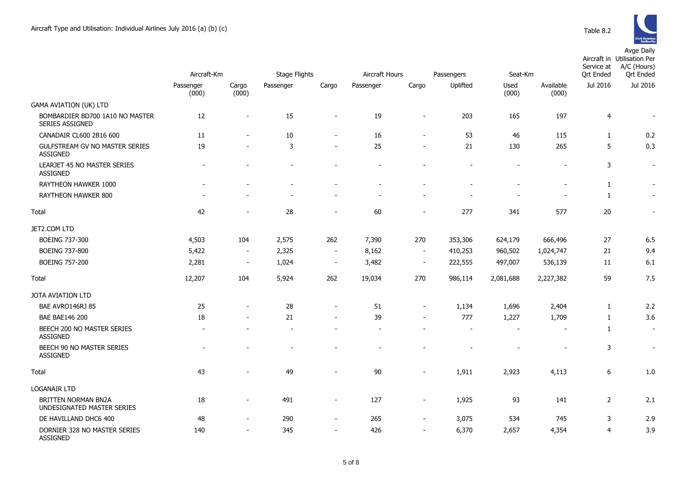|                                                           | Aircraft-Km              |                          | <b>Stage Flights</b> |                          | Aircraft Hours |                          | Passengers               | Seat-Km                  |                          | Service at<br><b>Ort Ended</b> | Aircraft in Utilisation Per<br>A/C (Hours)<br><b>Qrt Ended</b> |
|-----------------------------------------------------------|--------------------------|--------------------------|----------------------|--------------------------|----------------|--------------------------|--------------------------|--------------------------|--------------------------|--------------------------------|----------------------------------------------------------------|
|                                                           | Passenger<br>(000)       | Cargo<br>(000)           | Passenger            | Cargo                    | Passenger      | Cargo                    | Uplifted                 | Used<br>(000)            | Available<br>(000)       | Jul 2016                       | Jul 2016                                                       |
| <b>GAMA AVIATION (UK) LTD</b>                             |                          |                          |                      |                          |                |                          |                          |                          |                          |                                |                                                                |
| BOMBARDIER BD700 1A10 NO MASTER<br><b>SERIES ASSIGNED</b> | 12                       | $\overline{\phantom{a}}$ | 15                   |                          | 19             | $\overline{\phantom{a}}$ | 203                      | 165                      | 197                      | $\overline{4}$                 | $\overline{\phantom{a}}$                                       |
| CANADAIR CL600 2B16 600                                   | 11                       |                          | 10                   | $\overline{\phantom{a}}$ | 16             | $\sim$                   | 53                       | 46                       | 115                      | $\mathbf{1}$                   | 0.2                                                            |
| GULFSTREAM GV NO MASTER SERIES<br><b>ASSIGNED</b>         | 19                       |                          | 3                    |                          | 25             | $\blacksquare$           | 21                       | 130                      | 265                      | 5                              | 0.3                                                            |
| LEARJET 45 NO MASTER SERIES<br><b>ASSIGNED</b>            | $\blacksquare$           |                          |                      |                          |                |                          | $\overline{\phantom{a}}$ |                          |                          | 3                              | $\blacksquare$                                                 |
| RAYTHEON HAWKER 1000                                      | $\overline{\phantom{a}}$ |                          |                      |                          |                |                          | $\overline{\phantom{a}}$ |                          | $\overline{a}$           | $\mathbf{1}$                   | $\overline{\phantom{a}}$                                       |
| RAYTHEON HAWKER 800                                       |                          |                          |                      |                          |                |                          |                          |                          |                          | $\mathbf{1}$                   | $\blacksquare$                                                 |
| <b>Total</b>                                              | 42                       |                          | 28                   |                          | 60             |                          | 277                      | 341                      | 577                      | $20\,$                         |                                                                |
| JET2.COM LTD                                              |                          |                          |                      |                          |                |                          |                          |                          |                          |                                |                                                                |
| BOEING 737-300                                            | 4,503                    | 104                      | 2,575                | 262                      | 7,390          | 270                      | 353,306                  | 624,179                  | 666,496                  | 27                             | 6.5                                                            |
| <b>BOEING 737-800</b>                                     | 5,422                    | $\blacksquare$           | 2,325                | $\overline{\phantom{a}}$ | 8,162          | $\sim$                   | 410,253                  | 960,502                  | 1,024,747                | 21                             | 9.4                                                            |
| <b>BOEING 757-200</b>                                     | 2,281                    | $\overline{\phantom{a}}$ | 1,024                | $\overline{\phantom{a}}$ | 3,482          | $\sim$                   | 222,555                  | 497,007                  | 536,139                  | 11                             | 6.1                                                            |
| Total                                                     | 12,207                   | 104                      | 5,924                | 262                      | 19,034         | 270                      | 986,114                  | 2,081,688                | 2,227,382                | 59                             | 7.5                                                            |
| JOTA AVIATION LTD                                         |                          |                          |                      |                          |                |                          |                          |                          |                          |                                |                                                                |
| BAE AVRO146RJ 85                                          | 25                       | $\overline{\phantom{a}}$ | 28                   | $\overline{\phantom{a}}$ | 51             | $\blacksquare$           | 1,134                    | 1,696                    | 2,404                    | $\mathbf{1}$                   | 2.2                                                            |
| <b>BAE BAE146 200</b>                                     | 18                       |                          | 21                   |                          | 39             |                          | 777                      | 1,227                    | 1,709                    | $\mathbf{1}$                   | 3.6                                                            |
| BEECH 200 NO MASTER SERIES<br><b>ASSIGNED</b>             | $\overline{\phantom{a}}$ |                          |                      |                          |                |                          | $\overline{\phantom{a}}$ | $\overline{\phantom{a}}$ | $\overline{\phantom{0}}$ | $\mathbf{1}$                   | $\sim$                                                         |
| BEECH 90 NO MASTER SERIES<br><b>ASSIGNED</b>              | $\overline{\phantom{a}}$ |                          |                      |                          |                |                          |                          |                          | $\overline{a}$           | 3                              | $\blacksquare$                                                 |
| Total                                                     | 43                       |                          | 49                   |                          | 90             |                          | 1,911                    | 2,923                    | 4,113                    | 6                              | 1.0                                                            |
| <b>LOGANAIR LTD</b>                                       |                          |                          |                      |                          |                |                          |                          |                          |                          |                                |                                                                |
| <b>BRITTEN NORMAN BN2A</b><br>UNDESIGNATED MASTER SERIES  | 18                       | $\overline{\phantom{a}}$ | 491                  | $\overline{\phantom{a}}$ | 127            | $\blacksquare$           | 1,925                    | 93                       | 141                      | $\overline{2}$                 | 2.1                                                            |
| DE HAVILLAND DHC6 400                                     | 48                       | $\overline{\phantom{a}}$ | 290                  | $\sim$                   | 265            | $\sim$                   | 3,075                    | 534                      | 745                      | 3                              | 2.9                                                            |
| DORNIER 328 NO MASTER SERIES<br><b>ASSIGNED</b>           | 140                      | $\overline{\phantom{a}}$ | 345                  | $\overline{\phantom{a}}$ | 426            | $\overline{\phantom{a}}$ | 6,370                    | 2,657                    | 4,354                    | 4                              | 3.9                                                            |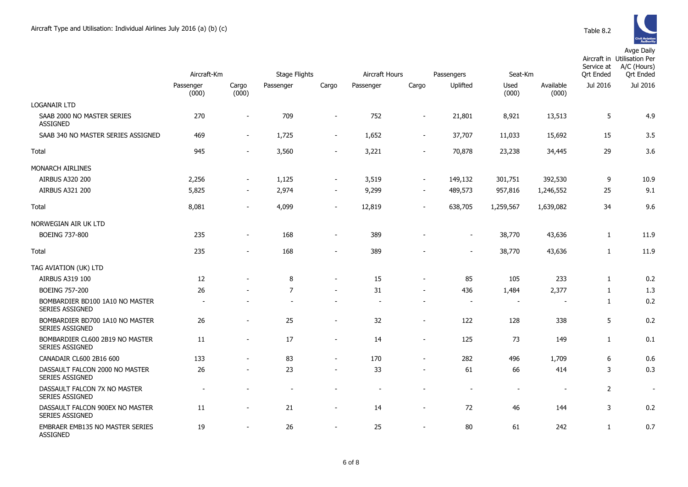|                                                           | Aircraft-Km        |                          | <b>Stage Flights</b> |                          | Aircraft Hours |                          | Passengers               | Seat-Km                  |                          | Service at<br><b>Ort Ended</b> | Aircraft in Utilisation Per<br>A/C (Hours)<br><b>Ort Ended</b> |
|-----------------------------------------------------------|--------------------|--------------------------|----------------------|--------------------------|----------------|--------------------------|--------------------------|--------------------------|--------------------------|--------------------------------|----------------------------------------------------------------|
|                                                           | Passenger<br>(000) | Cargo<br>(000)           | Passenger            | Cargo                    | Passenger      | Cargo                    | Uplifted                 | Used<br>(000)            | Available<br>(000)       | Jul 2016                       | Jul 2016                                                       |
| LOGANAIR LTD                                              |                    |                          |                      |                          |                |                          |                          |                          |                          |                                |                                                                |
| SAAB 2000 NO MASTER SERIES<br>ASSIGNED                    | 270                | $\overline{\phantom{a}}$ | 709                  | $\sim$                   | 752            | $\overline{\phantom{a}}$ | 21,801                   | 8,921                    | 13,513                   | 5                              | 4.9                                                            |
| SAAB 340 NO MASTER SERIES ASSIGNED                        | 469                | $\overline{\phantom{a}}$ | 1,725                | $\sim$                   | 1,652          | $\blacksquare$           | 37,707                   | 11,033                   | 15,692                   | 15                             | 3.5                                                            |
| Total                                                     | 945                | $\sim$                   | 3,560                | $\sim$                   | 3,221          | $\overline{\phantom{a}}$ | 70,878                   | 23,238                   | 34,445                   | 29                             | 3.6                                                            |
| MONARCH AIRLINES                                          |                    |                          |                      |                          |                |                          |                          |                          |                          |                                |                                                                |
| AIRBUS A320 200                                           | 2,256              | $\blacksquare$           | 1,125                |                          | 3,519          | $\blacksquare$           | 149,132                  | 301,751                  | 392,530                  | 9                              | 10.9                                                           |
| <b>AIRBUS A321 200</b>                                    | 5,825              | $\overline{\phantom{a}}$ | 2,974                |                          | 9,299          | $\overline{\phantom{a}}$ | 489,573                  | 957,816                  | 1,246,552                | 25                             | 9.1                                                            |
| Total                                                     | 8,081              | $\overline{\phantom{a}}$ | 4,099                | $\sim$                   | 12,819         | $\blacksquare$           | 638,705                  | 1,259,567                | 1,639,082                | 34                             | 9.6                                                            |
| NORWEGIAN AIR UK LTD                                      |                    |                          |                      |                          |                |                          |                          |                          |                          |                                |                                                                |
| <b>BOEING 737-800</b>                                     | 235                | $\overline{\phantom{a}}$ | 168                  | $\sim$                   | 389            |                          | $\overline{\phantom{a}}$ | 38,770                   | 43,636                   | $\mathbf{1}$                   | 11.9                                                           |
| Total                                                     | 235                |                          | 168                  |                          | 389            |                          | $\overline{\phantom{a}}$ | 38,770                   | 43,636                   | 1                              | 11.9                                                           |
| TAG AVIATION (UK) LTD                                     |                    |                          |                      |                          |                |                          |                          |                          |                          |                                |                                                                |
| AIRBUS A319 100                                           | 12                 |                          | 8                    |                          | 15             | $\blacksquare$           | 85                       | 105                      | 233                      | 1                              | 0.2                                                            |
| <b>BOEING 757-200</b>                                     | 26                 |                          | $\overline{7}$       | $\sim$                   | 31             | $\sim$                   | 436                      | 1,484                    | 2,377                    | $\mathbf{1}$                   | 1.3                                                            |
| BOMBARDIER BD100 1A10 NO MASTER<br><b>SERIES ASSIGNED</b> | $\sim$             |                          |                      |                          | $\sim$         | $\overline{\phantom{a}}$ | $\overline{\phantom{a}}$ | $\overline{\phantom{a}}$ | $\overline{\phantom{a}}$ | $\mathbf{1}$                   | 0.2                                                            |
| BOMBARDIER BD700 1A10 NO MASTER<br><b>SERIES ASSIGNED</b> | 26                 |                          | 25                   | $\overline{\phantom{a}}$ | 32             | $\sim$                   | 122                      | 128                      | 338                      | 5                              | 0.2                                                            |
| BOMBARDIER CL600 2B19 NO MASTER<br><b>SERIES ASSIGNED</b> | 11                 | $\overline{\phantom{a}}$ | 17                   | $\sim$                   | 14             | $\sim$                   | 125                      | 73                       | 149                      | $\mathbf{1}$                   | 0.1                                                            |
| CANADAIR CL600 2B16 600                                   | 133                |                          | 83                   |                          | 170            | $\blacksquare$           | 282                      | 496                      | 1,709                    | 6                              | 0.6                                                            |
| DASSAULT FALCON 2000 NO MASTER<br><b>SERIES ASSIGNED</b>  | 26                 | $\overline{\phantom{a}}$ | 23                   |                          | 33             | $\blacksquare$           | 61                       | 66                       | 414                      | 3                              | 0.3                                                            |
| DASSAULT FALCON 7X NO MASTER<br>SERIES ASSIGNED           |                    |                          |                      |                          |                |                          | $\overline{\phantom{a}}$ | $\overline{a}$           |                          | $\overline{2}$                 |                                                                |
| DASSAULT FALCON 900EX NO MASTER<br>SERIES ASSIGNED        | 11                 | $\overline{\phantom{a}}$ | 21                   |                          | 14             | $\overline{\phantom{0}}$ | 72                       | 46                       | 144                      | 3                              | 0.2                                                            |
| EMBRAER EMB135 NO MASTER SERIES<br><b>ASSIGNED</b>        | 19                 | $\blacksquare$           | 26                   |                          | 25             | $\sim$                   | 80                       | 61                       | 242                      | $\mathbf{1}$                   | 0.7                                                            |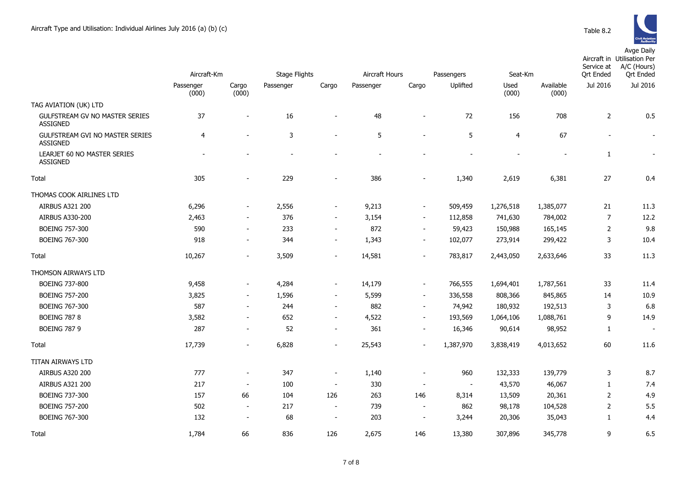|                                                           | Aircraft-Km              |                          | <b>Stage Flights</b> |                          | Aircraft Hours |                          | Passengers | Seat-Km        |                          | Service at<br>Ort Ended | Aircraft in Utilisation Per<br>A/C (Hours)<br><b>Ort Ended</b> |
|-----------------------------------------------------------|--------------------------|--------------------------|----------------------|--------------------------|----------------|--------------------------|------------|----------------|--------------------------|-------------------------|----------------------------------------------------------------|
|                                                           | Passenger<br>(000)       | Cargo<br>(000)           | Passenger            | Cargo                    | Passenger      | Cargo                    | Uplifted   | Used<br>(000)  | Available<br>(000)       | Jul 2016                | Jul 2016                                                       |
| TAG AVIATION (UK) LTD                                     |                          |                          |                      |                          |                |                          |            |                |                          |                         |                                                                |
| GULFSTREAM GV NO MASTER SERIES<br><b>ASSIGNED</b>         | 37                       | $\blacksquare$           | 16                   | $\overline{a}$           | 48             | $\overline{\phantom{a}}$ | 72         | 156            | 708                      | $\overline{2}$          | 0.5                                                            |
| <b>GULFSTREAM GVI NO MASTER SERIES</b><br><b>ASSIGNED</b> | $\overline{4}$           | ÷,                       | 3                    | ÷,                       | 5              | ÷,                       | 5          | 4              | 67                       | $\sim$                  | $\sim$                                                         |
| LEARJET 60 NO MASTER SERIES<br><b>ASSIGNED</b>            | $\overline{\phantom{a}}$ |                          | ÷.                   |                          | $\blacksquare$ |                          |            | $\overline{a}$ | $\overline{\phantom{a}}$ | $\mathbf{1}$            | $\blacksquare$                                                 |
| Total                                                     | 305                      |                          | 229                  | $\overline{\phantom{a}}$ | 386            |                          | 1,340      | 2,619          | 6,381                    | 27                      | 0.4                                                            |
| THOMAS COOK AIRLINES LTD                                  |                          |                          |                      |                          |                |                          |            |                |                          |                         |                                                                |
| AIRBUS A321 200                                           | 6,296                    | $\blacksquare$           | 2,556                | $\overline{\phantom{a}}$ | 9,213          | $\overline{\phantom{a}}$ | 509,459    | 1,276,518      | 1,385,077                | 21                      | 11.3                                                           |
| AIRBUS A330-200                                           | 2,463                    | $\overline{\phantom{a}}$ | 376                  | $\overline{\phantom{a}}$ | 3,154          | $\overline{\phantom{a}}$ | 112,858    | 741,630        | 784,002                  | $\overline{7}$          | 12.2                                                           |
| <b>BOEING 757-300</b>                                     | 590                      | $\sim$                   | 233                  | $\overline{\phantom{a}}$ | 872            | $\overline{\phantom{a}}$ | 59,423     | 150,988        | 165,145                  | 2                       | 9.8                                                            |
| BOEING 767-300                                            | 918                      | $\overline{\phantom{a}}$ | 344                  | $\overline{\phantom{a}}$ | 1,343          | $\blacksquare$           | 102,077    | 273,914        | 299,422                  | 3                       | 10.4                                                           |
| Total                                                     | 10,267                   | $\blacksquare$           | 3,509                | $\overline{\phantom{a}}$ | 14,581         | $\overline{\phantom{0}}$ | 783,817    | 2,443,050      | 2,633,646                | 33                      | 11.3                                                           |
| <b>THOMSON AIRWAYS LTD</b>                                |                          |                          |                      |                          |                |                          |            |                |                          |                         |                                                                |
| BOEING 737-800                                            | 9,458                    | $\overline{\phantom{a}}$ | 4,284                | $\overline{\phantom{a}}$ | 14,179         | $\overline{\phantom{a}}$ | 766,555    | 1,694,401      | 1,787,561                | 33                      | 11.4                                                           |
| <b>BOEING 757-200</b>                                     | 3,825                    | $\frac{1}{2}$            | 1,596                | $\overline{\phantom{a}}$ | 5,599          | $\overline{\phantom{a}}$ | 336,558    | 808,366        | 845,865                  | 14                      | 10.9                                                           |
| BOEING 767-300                                            | 587                      | $\sim$                   | 244                  | $\overline{\phantom{a}}$ | 882            | $\blacksquare$           | 74,942     | 180,932        | 192,513                  | 3                       | 6.8                                                            |
| <b>BOEING 787 8</b>                                       | 3,582                    | $\overline{\phantom{a}}$ | 652                  | $\blacksquare$           | 4,522          | $\sim$                   | 193,569    | 1,064,106      | 1,088,761                | 9                       | 14.9                                                           |
| <b>BOEING 787 9</b>                                       | 287                      | $\overline{\phantom{0}}$ | 52                   | $\overline{\phantom{a}}$ | 361            | $\overline{\phantom{a}}$ | 16,346     | 90,614         | 98,952                   | $\mathbf{1}$            | $\overline{\phantom{a}}$                                       |
| Total                                                     | 17,739                   | $\overline{\phantom{0}}$ | 6,828                | $\overline{\phantom{a}}$ | 25,543         | $\overline{\phantom{0}}$ | 1,387,970  | 3,838,419      | 4,013,652                | 60                      | 11.6                                                           |
| <b>TITAN AIRWAYS LTD</b>                                  |                          |                          |                      |                          |                |                          |            |                |                          |                         |                                                                |
| <b>AIRBUS A320 200</b>                                    | 777                      | $\overline{a}$           | 347                  | $\overline{\phantom{a}}$ | 1,140          | $\overline{\phantom{0}}$ | 960        | 132,333        | 139,779                  | 3                       | 8.7                                                            |
| <b>AIRBUS A321 200</b>                                    | 217                      | $\blacksquare$           | 100                  | $\overline{\phantom{a}}$ | 330            | $\blacksquare$           | $\sim$     | 43,570         | 46,067                   | $\mathbf{1}$            | 7.4                                                            |
| BOEING 737-300                                            | 157                      | 66                       | 104                  | 126                      | 263            | 146                      | 8,314      | 13,509         | 20,361                   | $\overline{2}$          | 4.9                                                            |
| <b>BOEING 757-200</b>                                     | 502                      | $\overline{\phantom{a}}$ | 217                  | $\overline{\phantom{a}}$ | 739            | $\overline{\phantom{a}}$ | 862        | 98,178         | 104,528                  | 2                       | 5.5                                                            |
| BOEING 767-300                                            | 132                      | $\overline{\phantom{a}}$ | 68                   | $\overline{a}$           | 203            | $\overline{\phantom{a}}$ | 3,244      | 20,306         | 35,043                   | $\mathbf{1}$            | 4.4                                                            |
| Total                                                     | 1,784                    | 66                       | 836                  | 126                      | 2,675          | 146                      | 13,380     | 307,896        | 345,778                  | 9                       | 6.5                                                            |